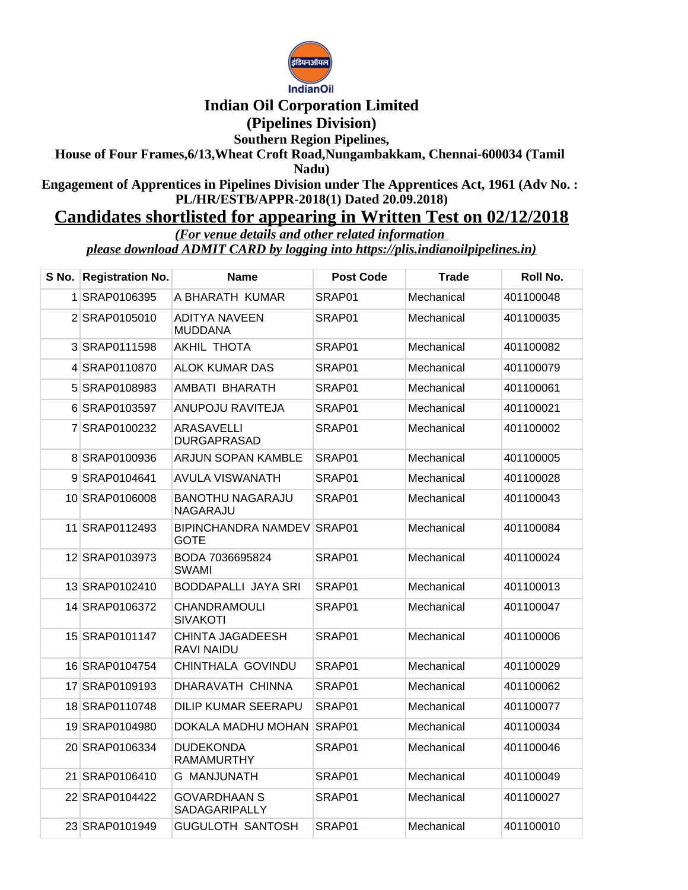

## **Indian Oil Corporation Limited**

**(Pipelines Division)**

**Southern Region Pipelines,**

**House of Four Frames,6/13,Wheat Croft Road,Nungambakkam, Chennai-600034 (Tamil** 

**Nadu)**

**Engagement of Apprentices in Pipelines Division under The Apprentices Act, 1961 (Adv No. : PL/HR/ESTB/APPR-2018(1) Dated 20.09.2018)**

## **Candidates shortlisted for appearing in Written Test on 02/12/2018**

*(For venue details and other related information* 

*please download ADMIT CARD by logging into https://plis.indianoilpipelines.in)*

| S No. | <b>Registration No.</b> | <b>Name</b>                             | <b>Post Code</b> | Trade      | Roll No.  |
|-------|-------------------------|-----------------------------------------|------------------|------------|-----------|
|       | 1 SRAP0106395           | A BHARATH KUMAR                         | SRAP01           | Mechanical | 401100048 |
|       | 2 SRAP0105010           | <b>ADITYA NAVEEN</b><br><b>MUDDANA</b>  | SRAP01           | Mechanical | 401100035 |
|       | 3 SRAP0111598           | <b>AKHIL THOTA</b>                      | SRAP01           | Mechanical | 401100082 |
|       | 4 SRAP0110870           | <b>ALOK KUMAR DAS</b>                   | SRAP01           | Mechanical | 401100079 |
|       | 5 SRAP0108983           | AMBATI BHARATH                          | SRAP01           | Mechanical | 401100061 |
|       | 6 SRAP0103597           | ANUPOJU RAVITEJA                        | SRAP01           | Mechanical | 401100021 |
|       | 7 SRAP0100232           | <b>ARASAVELLI</b><br><b>DURGAPRASAD</b> | SRAP01           | Mechanical | 401100002 |
|       | 8 SRAP0100936           | ARJUN SOPAN KAMBLE                      | SRAP01           | Mechanical | 401100005 |
|       | 9 SRAP0104641           | <b>AVULA VISWANATH</b>                  | SRAP01           | Mechanical | 401100028 |
|       | 10 SRAP0106008          | <b>BANOTHU NAGARAJU</b><br>NAGARAJU     | SRAP01           | Mechanical | 401100043 |
|       | 11 SRAP0112493          | BIPINCHANDRA NAMDEV<br>GOTE             | SRAP01           | Mechanical | 401100084 |
|       | 12 SRAP0103973          | BODA 7036695824<br>SWAMI                | SRAP01           | Mechanical | 401100024 |
|       | 13 SRAP0102410          | BODDAPALLI JAYA SRI                     | SRAP01           | Mechanical | 401100013 |
|       | 14 SRAP0106372          | CHANDRAMOULI<br>SIVAKOTI                | SRAP01           | Mechanical | 401100047 |
|       | 15 SRAP0101147          | <b>CHINTA JAGADEESH</b><br>RAVI NAIDU   | SRAP01           | Mechanical | 401100006 |
|       | 16 SRAP0104754          | CHINTHALA GOVINDU                       | SRAP01           | Mechanical | 401100029 |
|       | 17 SRAP0109193          | DHARAVATH CHINNA                        | SRAP01           | Mechanical | 401100062 |
|       | 18 SRAP0110748          | <b>DILIP KUMAR SEERAPU</b>              | SRAP01           | Mechanical | 401100077 |
|       | 19 SRAP0104980          | DOKALA MADHU MOHAN                      | SRAP01           | Mechanical | 401100034 |
|       | 20 SRAP0106334          | <b>DUDEKONDA</b><br><b>RAMAMURTHY</b>   | SRAP01           | Mechanical | 401100046 |
|       | 21 SRAP0106410          | <b>G MANJUNATH</b>                      | SRAP01           | Mechanical | 401100049 |
|       | 22 SRAP0104422          | <b>GOVARDHAAN S</b><br>SADAGARIPALLY    | SRAP01           | Mechanical | 401100027 |
|       | 23 SRAP0101949          | <b>GUGULOTH SANTOSH</b>                 | SRAP01           | Mechanical | 401100010 |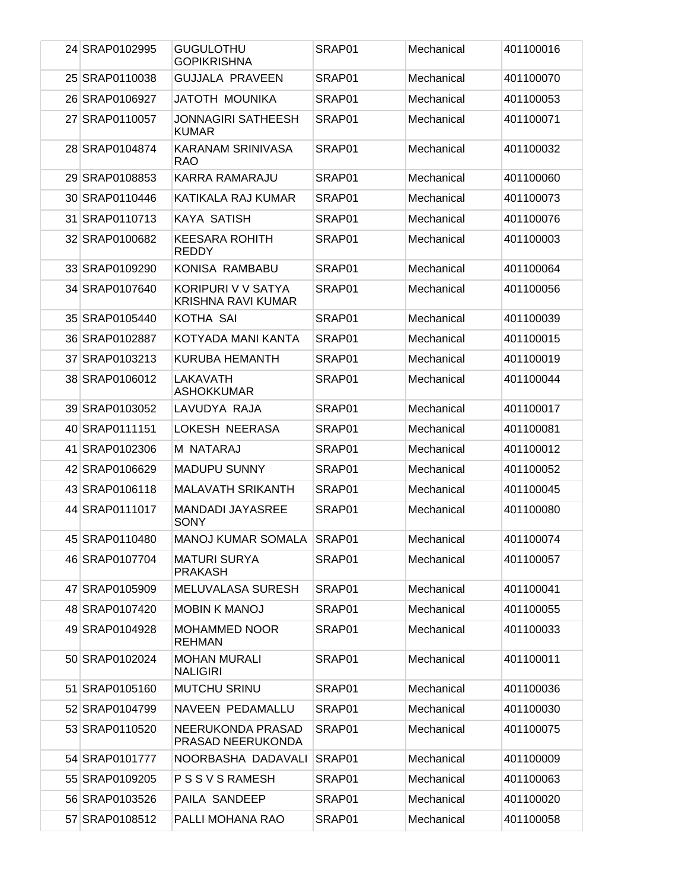| 24 SRAP0102995 | <b>GUGULOTHU</b><br><b>GOPIKRISHNA</b>          | SRAP01 | Mechanical | 401100016 |
|----------------|-------------------------------------------------|--------|------------|-----------|
| 25 SRAP0110038 | <b>GUJJALA PRAVEEN</b>                          | SRAP01 | Mechanical | 401100070 |
| 26 SRAP0106927 | JATOTH MOUNIKA                                  | SRAP01 | Mechanical | 401100053 |
| 27 SRAP0110057 | <b>JONNAGIRI SATHEESH</b><br><b>KUMAR</b>       | SRAP01 | Mechanical | 401100071 |
| 28 SRAP0104874 | KARANAM SRINIVASA<br><b>RAO</b>                 | SRAP01 | Mechanical | 401100032 |
| 29 SRAP0108853 | <b>KARRA RAMARAJU</b>                           | SRAP01 | Mechanical | 401100060 |
| 30 SRAP0110446 | KATIKALA RAJ KUMAR                              | SRAP01 | Mechanical | 401100073 |
| 31 SRAP0110713 | <b>KAYA SATISH</b>                              | SRAP01 | Mechanical | 401100076 |
| 32 SRAP0100682 | <b>KEESARA ROHITH</b><br><b>REDDY</b>           | SRAP01 | Mechanical | 401100003 |
| 33 SRAP0109290 | KONISA RAMBABU                                  | SRAP01 | Mechanical | 401100064 |
| 34 SRAP0107640 | KORIPURI V V SATYA<br><b>KRISHNA RAVI KUMAR</b> | SRAP01 | Mechanical | 401100056 |
| 35 SRAP0105440 | KOTHA SAI                                       | SRAP01 | Mechanical | 401100039 |
| 36 SRAP0102887 | KOTYADA MANI KANTA                              | SRAP01 | Mechanical | 401100015 |
| 37 SRAP0103213 | KURUBA HEMANTH                                  | SRAP01 | Mechanical | 401100019 |
| 38 SRAP0106012 | LAKAVATH<br><b>ASHOKKUMAR</b>                   | SRAP01 | Mechanical | 401100044 |
| 39 SRAP0103052 | LAVUDYA RAJA                                    | SRAP01 | Mechanical | 401100017 |
| 40 SRAP0111151 | LOKESH NEERASA                                  | SRAP01 | Mechanical | 401100081 |
| 41 SRAP0102306 | M NATARAJ                                       | SRAP01 | Mechanical | 401100012 |
| 42 SRAP0106629 | <b>MADUPU SUNNY</b>                             | SRAP01 | Mechanical | 401100052 |
| 43 SRAP0106118 | <b>MALAVATH SRIKANTH</b>                        | SRAP01 | Mechanical | 401100045 |
| 44 SRAP0111017 | <b>MANDADI JAYASREE</b><br><b>SONY</b>          | SRAP01 | Mechanical | 401100080 |
| 45 SRAP0110480 | MANOJ KUMAR SOMALA                              | SRAP01 | Mechanical | 401100074 |
| 46 SRAP0107704 | <b>MATURI SURYA</b><br><b>PRAKASH</b>           | SRAP01 | Mechanical | 401100057 |
| 47 SRAP0105909 | <b>MELUVALASA SURESH</b>                        | SRAP01 | Mechanical | 401100041 |
| 48 SRAP0107420 | <b>MOBIN K MANOJ</b>                            | SRAP01 | Mechanical | 401100055 |
| 49 SRAP0104928 | <b>MOHAMMED NOOR</b><br><b>REHMAN</b>           | SRAP01 | Mechanical | 401100033 |
| 50 SRAP0102024 | <b>MOHAN MURALI</b><br><b>NALIGIRI</b>          | SRAP01 | Mechanical | 401100011 |
| 51 SRAP0105160 | <b>MUTCHU SRINU</b>                             | SRAP01 | Mechanical | 401100036 |
| 52 SRAP0104799 | NAVEEN PEDAMALLU                                | SRAP01 | Mechanical | 401100030 |
| 53 SRAP0110520 | NEERUKONDA PRASAD<br>PRASAD NEERUKONDA          | SRAP01 | Mechanical | 401100075 |
| 54 SRAP0101777 | NOORBASHA DADAVALI                              | SRAP01 | Mechanical | 401100009 |
| 55 SRAP0109205 | <b>PSSVSRAMESH</b>                              | SRAP01 | Mechanical | 401100063 |
| 56 SRAP0103526 | PAILA SANDEEP                                   | SRAP01 | Mechanical | 401100020 |
| 57 SRAP0108512 | PALLI MOHANA RAO                                | SRAP01 | Mechanical | 401100058 |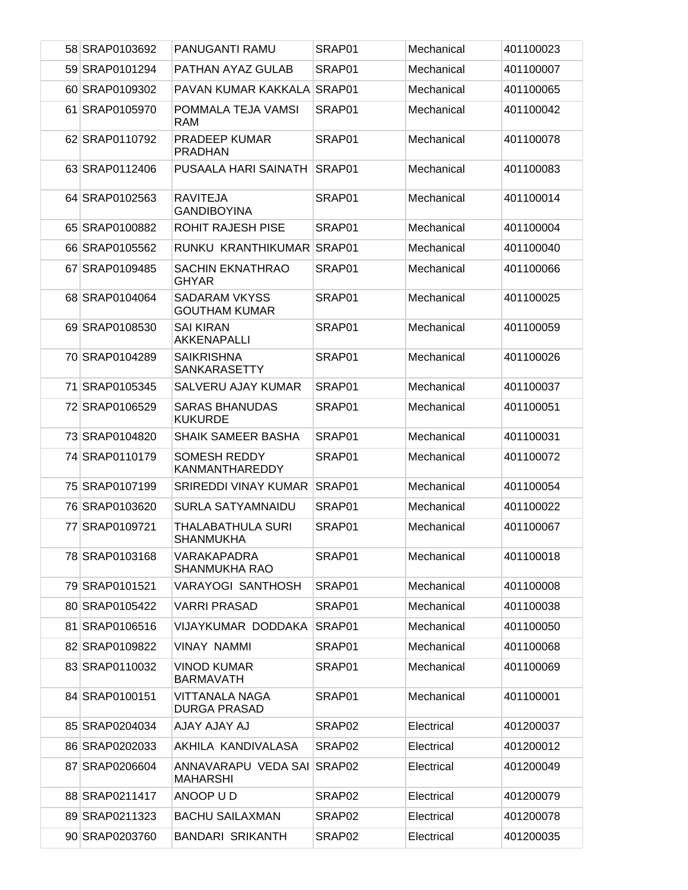| 58 SRAP0103692 | PANUGANTI RAMU                               | SRAP01             | Mechanical | 401100023 |
|----------------|----------------------------------------------|--------------------|------------|-----------|
| 59 SRAP0101294 | <b>PATHAN AYAZ GULAB</b>                     | SRAP01             | Mechanical | 401100007 |
| 60 SRAP0109302 | PAVAN KUMAR KAKKALA                          | SRAP01             | Mechanical | 401100065 |
| 61 SRAP0105970 | POMMALA TEJA VAMSI<br><b>RAM</b>             | SRAP01             | Mechanical | 401100042 |
| 62 SRAP0110792 | <b>PRADEEP KUMAR</b><br><b>PRADHAN</b>       | SRAP01             | Mechanical | 401100078 |
| 63 SRAP0112406 | PUSAALA HARI SAINATH                         | SRAP01             | Mechanical | 401100083 |
| 64 SRAP0102563 | <b>RAVITEJA</b><br><b>GANDIBOYINA</b>        | SRAP01             | Mechanical | 401100014 |
| 65 SRAP0100882 | <b>ROHIT RAJESH PISE</b>                     | SRAP01             | Mechanical | 401100004 |
| 66 SRAP0105562 | RUNKU KRANTHIKUMAR                           | SRAP01             | Mechanical | 401100040 |
| 67 SRAP0109485 | <b>SACHIN EKNATHRAO</b><br><b>GHYAR</b>      | SRAP01             | Mechanical | 401100066 |
| 68 SRAP0104064 | <b>SADARAM VKYSS</b><br><b>GOUTHAM KUMAR</b> | SRAP01             | Mechanical | 401100025 |
| 69 SRAP0108530 | <b>SAI KIRAN</b><br>AKKENAPALLI              | SRAP01             | Mechanical | 401100059 |
| 70 SRAP0104289 | <b>SAIKRISHNA</b><br><b>SANKARASETTY</b>     | SRAP01             | Mechanical | 401100026 |
| 71 SRAP0105345 | SALVERU AJAY KUMAR                           | SRAP01             | Mechanical | 401100037 |
| 72 SRAP0106529 | <b>SARAS BHANUDAS</b><br><b>KUKURDE</b>      | SRAP01             | Mechanical | 401100051 |
| 73 SRAP0104820 | SHAIK SAMEER BASHA                           | SRAP01             | Mechanical | 401100031 |
| 74 SRAP0110179 | <b>SOMESH REDDY</b><br>KANMANTHAREDDY        | SRAP01             | Mechanical | 401100072 |
| 75 SRAP0107199 | <b>SRIREDDI VINAY KUMAR</b>                  | SRAP01             | Mechanical | 401100054 |
| 76 SRAP0103620 | <b>SURLA SATYAMNAIDU</b>                     | SRAP01             | Mechanical | 401100022 |
| 77 SRAP0109721 | THALABATHULA SURI<br><b>SHANMUKHA</b>        | SRAP01             | Mechanical | 401100067 |
| 78 SRAP0103168 | VARAKAPADRA<br><b>SHANMUKHA RAO</b>          | SRAP01             | Mechanical | 401100018 |
| 79 SRAP0101521 | VARAYOGI SANTHOSH                            | SRAP01             | Mechanical | 401100008 |
| 80 SRAP0105422 | <b>VARRI PRASAD</b>                          | SRAP01             | Mechanical | 401100038 |
| 81 SRAP0106516 | VIJAYKUMAR DODDAKA                           | SRAP01             | Mechanical | 401100050 |
| 82 SRAP0109822 | <b>VINAY NAMMI</b>                           | SRAP01             | Mechanical | 401100068 |
| 83 SRAP0110032 | <b>VINOD KUMAR</b><br><b>BARMAVATH</b>       | SRAP01             | Mechanical | 401100069 |
| 84 SRAP0100151 | <b>VITTANALA NAGA</b><br><b>DURGA PRASAD</b> | SRAP01             | Mechanical | 401100001 |
| 85 SRAP0204034 | <b>AJAY AJAY AJ</b>                          | SRAP02             | Electrical | 401200037 |
| 86 SRAP0202033 | AKHILA KANDIVALASA                           | SRAP02             | Electrical | 401200012 |
| 87 SRAP0206604 | ANNAVARAPU VEDA SAI<br><b>MAHARSHI</b>       | SRAP <sub>02</sub> | Electrical | 401200049 |
| 88 SRAP0211417 | ANOOP U D                                    | SRAP02             | Electrical | 401200079 |
| 89 SRAP0211323 | <b>BACHU SAILAXMAN</b>                       | SRAP02             | Electrical | 401200078 |
| 90 SRAP0203760 | <b>BANDARI SRIKANTH</b>                      | SRAP02             | Electrical | 401200035 |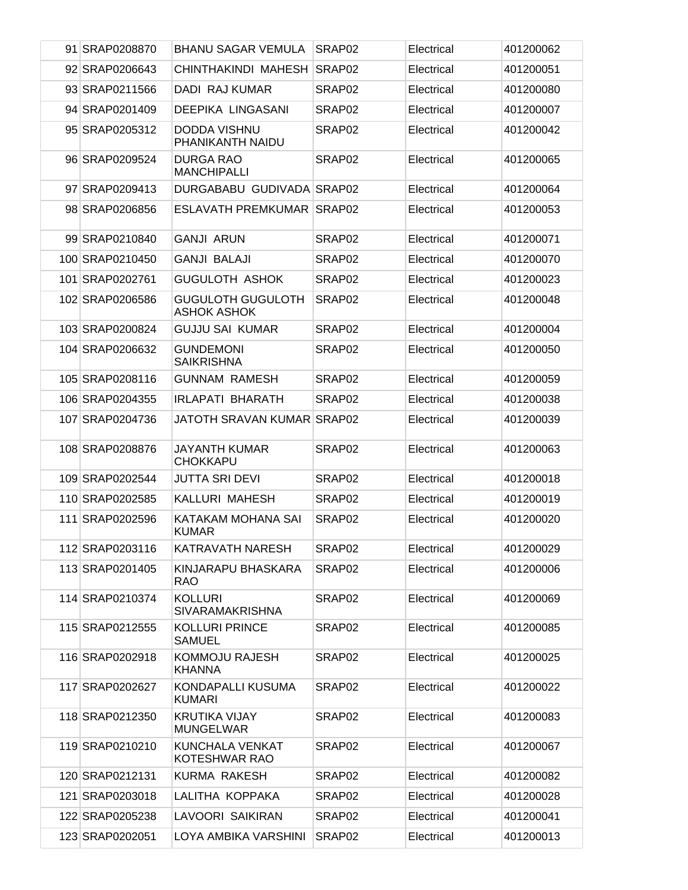| 91 SRAP0208870  | <b>BHANU SAGAR VEMULA</b>                      | SRAP <sub>02</sub> | Electrical | 401200062 |
|-----------------|------------------------------------------------|--------------------|------------|-----------|
| 92 SRAP0206643  | CHINTHAKINDI MAHESH                            | SRAP <sub>02</sub> | Electrical | 401200051 |
| 93 SRAP0211566  | DADI RAJ KUMAR                                 | SRAP02             | Electrical | 401200080 |
| 94 SRAP0201409  | <b>DEEPIKA LINGASANI</b>                       | SRAP <sub>02</sub> | Electrical | 401200007 |
| 95 SRAP0205312  | <b>DODDA VISHNU</b><br>PHANIKANTH NAIDU        | SRAP02             | Electrical | 401200042 |
| 96 SRAP0209524  | <b>DURGA RAO</b><br><b>MANCHIPALLI</b>         | SRAP02             | Electrical | 401200065 |
| 97 SRAP0209413  | DURGABABU GUDIVADA SRAP02                      |                    | Electrical | 401200064 |
| 98 SRAP0206856  | <b>ESLAVATH PREMKUMAR</b>                      | SRAP02             | Electrical | 401200053 |
| 99 SRAP0210840  | <b>GANJI ARUN</b>                              | SRAP02             | Electrical | 401200071 |
| 100 SRAP0210450 | <b>GANJI BALAJI</b>                            | SRAP <sub>02</sub> | Electrical | 401200070 |
| 101 SRAP0202761 | <b>GUGULOTH ASHOK</b>                          | SRAP <sub>02</sub> | Electrical | 401200023 |
| 102 SRAP0206586 | <b>GUGULOTH GUGULOTH</b><br><b>ASHOK ASHOK</b> | SRAP <sub>02</sub> | Electrical | 401200048 |
| 103 SRAP0200824 | <b>GUJJU SAI KUMAR</b>                         | SRAP02             | Electrical | 401200004 |
| 104 SRAP0206632 | <b>GUNDEMONI</b><br><b>SAIKRISHNA</b>          | SRAP <sub>02</sub> | Electrical | 401200050 |
| 105 SRAP0208116 | <b>GUNNAM RAMESH</b>                           | SRAP <sub>02</sub> | Electrical | 401200059 |
| 106 SRAP0204355 | <b>IRLAPATI BHARATH</b>                        | SRAP <sub>02</sub> | Electrical | 401200038 |
| 107 SRAP0204736 | JATOTH SRAVAN KUMAR SRAP02                     |                    | Electrical | 401200039 |
| 108 SRAP0208876 | <b>JAYANTH KUMAR</b><br><b>CHOKKAPU</b>        | SRAP02             | Electrical | 401200063 |
| 109 SRAP0202544 | <b>JUTTA SRI DEVI</b>                          | SRAP <sub>02</sub> | Electrical | 401200018 |
| 110 SRAP0202585 | KALLURI MAHESH                                 | SRAP <sub>02</sub> | Electrical | 401200019 |
| 111 SRAP0202596 | KATAKAM MOHANA SAI<br><b>KUMAR</b>             | SRAP <sub>02</sub> | Electrical | 401200020 |
| 112 SRAP0203116 | KATRAVATH NARESH                               | SRAP02             | Electrical | 401200029 |
| 113 SRAP0201405 | KINJARAPU BHASKARA<br><b>RAO</b>               | SRAP <sub>02</sub> | Electrical | 401200006 |
| 114 SRAP0210374 | <b>KOLLURI</b><br><b>SIVARAMAKRISHNA</b>       | SRAP <sub>02</sub> | Electrical | 401200069 |
| 115 SRAP0212555 | <b>KOLLURI PRINCE</b><br><b>SAMUEL</b>         | SRAP02             | Electrical | 401200085 |
| 116 SRAP0202918 | <b>KOMMOJU RAJESH</b><br><b>KHANNA</b>         | SRAP02             | Electrical | 401200025 |
| 117 SRAP0202627 | KONDAPALLI KUSUMA<br><b>KUMARI</b>             | SRAP <sub>02</sub> | Electrical | 401200022 |
| 118 SRAP0212350 | <b>KRUTIKA VIJAY</b><br><b>MUNGELWAR</b>       | SRAP02             | Electrical | 401200083 |
| 119 SRAP0210210 | KUNCHALA VENKAT<br>KOTESHWAR RAO               | SRAP02             | Electrical | 401200067 |
| 120 SRAP0212131 | KURMA RAKESH                                   | SRAP <sub>02</sub> | Electrical | 401200082 |
| 121 SRAP0203018 | LALITHA KOPPAKA                                | SRAP <sub>02</sub> | Electrical | 401200028 |
| 122 SRAP0205238 | LAVOORI SAIKIRAN                               | SRAP <sub>02</sub> | Electrical | 401200041 |
| 123 SRAP0202051 | LOYA AMBIKA VARSHINI                           | SRAP02             | Electrical | 401200013 |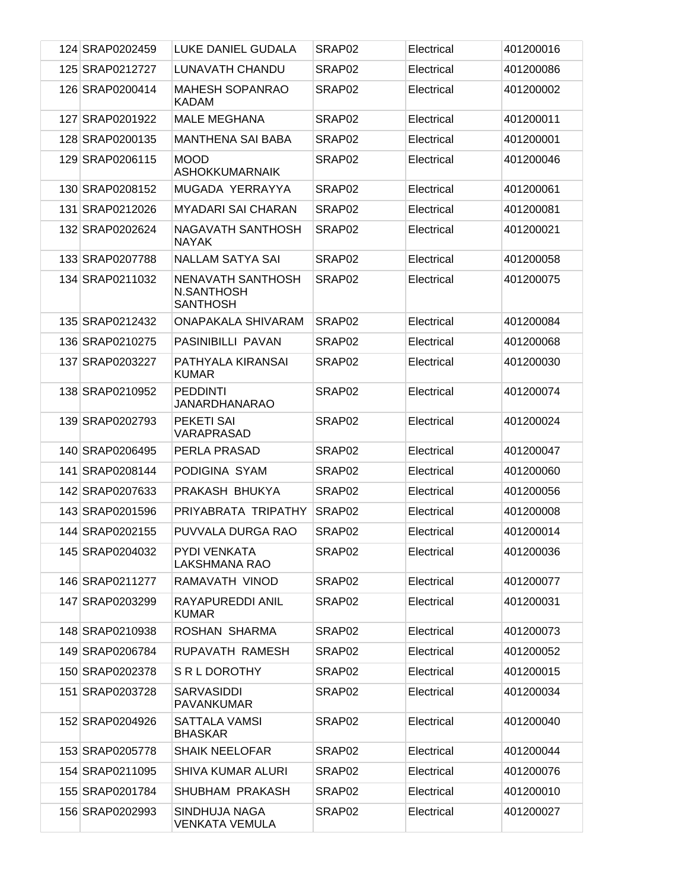| 124 SRAP0202459 | LUKE DANIEL GUDALA                                 | SRAP <sub>02</sub> | Electrical | 401200016 |
|-----------------|----------------------------------------------------|--------------------|------------|-----------|
| 125 SRAP0212727 | LUNAVATH CHANDU                                    | SRAP02             | Electrical | 401200086 |
| 126 SRAP0200414 | <b>MAHESH SOPANRAO</b><br><b>KADAM</b>             | SRAP02             | Electrical | 401200002 |
| 127 SRAP0201922 | <b>MALE MEGHANA</b>                                | SRAP02             | Electrical | 401200011 |
| 128 SRAP0200135 | <b>MANTHENA SAI BABA</b>                           | SRAP02             | Electrical | 401200001 |
| 129 SRAP0206115 | <b>MOOD</b><br><b>ASHOKKUMARNAIK</b>               | SRAP02             | Electrical | 401200046 |
| 130 SRAP0208152 | MUGADA YERRAYYA                                    | SRAP <sub>02</sub> | Electrical | 401200061 |
| 131 SRAP0212026 | <b>MYADARI SAI CHARAN</b>                          | SRAP <sub>02</sub> | Electrical | 401200081 |
| 132 SRAP0202624 | NAGAVATH SANTHOSH<br><b>NAYAK</b>                  | SRAP <sub>02</sub> | Electrical | 401200021 |
| 133 SRAP0207788 | <b>NALLAM SATYA SAI</b>                            | SRAP02             | Electrical | 401200058 |
| 134 SRAP0211032 | NENAVATH SANTHOSH<br>N.SANTHOSH<br><b>SANTHOSH</b> | SRAP <sub>02</sub> | Electrical | 401200075 |
| 135 SRAP0212432 | <b>ONAPAKALA SHIVARAM</b>                          | SRAP <sub>02</sub> | Electrical | 401200084 |
| 136 SRAP0210275 | PASINIBILLI PAVAN                                  | SRAP02             | Electrical | 401200068 |
| 137 SRAP0203227 | PATHYALA KIRANSAI<br><b>KUMAR</b>                  | SRAP02             | Electrical | 401200030 |
| 138 SRAP0210952 | <b>PEDDINTI</b><br><b>JANARDHANARAO</b>            | SRAP02             | Electrical | 401200074 |
| 139 SRAP0202793 | PEKETI SAI<br>VARAPRASAD                           | SRAP <sub>02</sub> | Electrical | 401200024 |
| 140 SRAP0206495 | PERLA PRASAD                                       | SRAP <sub>02</sub> | Electrical | 401200047 |
| 141 SRAP0208144 | PODIGINA SYAM                                      | SRAP <sub>02</sub> | Electrical | 401200060 |
| 142 SRAP0207633 | PRAKASH BHUKYA                                     | SRAP <sub>02</sub> | Electrical | 401200056 |
| 143 SRAP0201596 | PRIYABRATA TRIPATHY                                | SRAP <sub>02</sub> | Electrical | 401200008 |
| 144 SRAP0202155 | PUVVALA DURGA RAO                                  | SRAP <sub>02</sub> | Electrical | 401200014 |
| 145 SRAP0204032 | <b>PYDI VENKATA</b><br><b>LAKSHMANA RAO</b>        | SRAP <sub>02</sub> | Electrical | 401200036 |
| 146 SRAP0211277 | RAMAVATH VINOD                                     | SRAP <sub>02</sub> | Electrical | 401200077 |
| 147 SRAP0203299 | RAYAPUREDDI ANIL<br><b>KUMAR</b>                   | SRAP02             | Electrical | 401200031 |
| 148 SRAP0210938 | ROSHAN SHARMA                                      | SRAP02             | Electrical | 401200073 |
| 149 SRAP0206784 | RUPAVATH RAMESH                                    | SRAP02             | Electrical | 401200052 |
| 150 SRAP0202378 | <b>SRLDOROTHY</b>                                  | SRAP <sub>02</sub> | Electrical | 401200015 |
| 151 SRAP0203728 | <b>SARVASIDDI</b><br><b>PAVANKUMAR</b>             | SRAP02             | Electrical | 401200034 |
| 152 SRAP0204926 | <b>SATTALA VAMSI</b><br><b>BHASKAR</b>             | SRAP <sub>02</sub> | Electrical | 401200040 |
| 153 SRAP0205778 | <b>SHAIK NEELOFAR</b>                              | SRAP02             | Electrical | 401200044 |
| 154 SRAP0211095 | <b>SHIVA KUMAR ALURI</b>                           | SRAP02             | Electrical | 401200076 |
| 155 SRAP0201784 | SHUBHAM PRAKASH                                    | SRAP02             | Electrical | 401200010 |
| 156 SRAP0202993 | SINDHUJA NAGA<br><b>VENKATA VEMULA</b>             | SRAP02             | Electrical | 401200027 |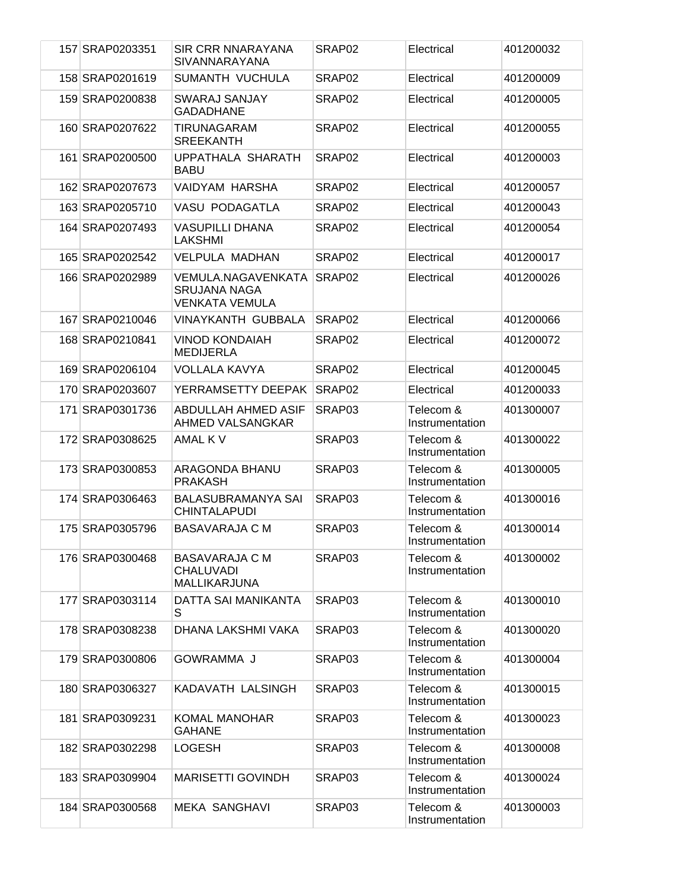| 157 SRAP0203351 | <b>SIR CRR NNARAYANA</b><br>SIVANNARAYANA                   | SRAP <sub>02</sub> | Electrical                   | 401200032 |
|-----------------|-------------------------------------------------------------|--------------------|------------------------------|-----------|
| 158 SRAP0201619 | SUMANTH VUCHULA                                             | SRAP02             | Electrical                   | 401200009 |
| 159 SRAP0200838 | SWARAJ SANJAY<br><b>GADADHANE</b>                           | SRAP <sub>02</sub> | Electrical                   | 401200005 |
| 160 SRAP0207622 | TIRUNAGARAM<br><b>SREEKANTH</b>                             | SRAP <sub>02</sub> | Electrical                   | 401200055 |
| 161 SRAP0200500 | UPPATHALA SHARATH<br><b>BABU</b>                            | SRAP <sub>02</sub> | Electrical                   | 401200003 |
| 162 SRAP0207673 | VAIDYAM HARSHA                                              | SRAP <sub>02</sub> | Electrical                   | 401200057 |
| 163 SRAP0205710 | <b>VASU PODAGATLA</b>                                       | SRAP <sub>02</sub> | Electrical                   | 401200043 |
| 164 SRAP0207493 | <b>VASUPILLI DHANA</b><br><b>LAKSHMI</b>                    | SRAP <sub>02</sub> | Electrical                   | 401200054 |
| 165 SRAP0202542 | <b>VELPULA MADHAN</b>                                       | SRAP <sub>02</sub> | Electrical                   | 401200017 |
| 166 SRAP0202989 | VEMULA.NAGAVENKATA<br>SRUJANA NAGA<br><b>VENKATA VEMULA</b> | SRAP02             | Electrical                   | 401200026 |
| 167 SRAP0210046 | VINAYKANTH GUBBALA                                          | SRAP <sub>02</sub> | Electrical                   | 401200066 |
| 168 SRAP0210841 | <b>VINOD KONDAIAH</b><br><b>MEDIJERLA</b>                   | SRAP <sub>02</sub> | Electrical                   | 401200072 |
| 169 SRAP0206104 | <b>VOLLALA KAVYA</b>                                        | SRAP <sub>02</sub> | Electrical                   | 401200045 |
| 170 SRAP0203607 | YERRAMSETTY DEEPAK                                          | SRAP <sub>02</sub> | Electrical                   | 401200033 |
| 171 SRAP0301736 | <b>ABDULLAH AHMED ASIF</b><br>AHMED VALSANGKAR              | SRAP03             | Telecom &<br>Instrumentation | 401300007 |
| 172 SRAP0308625 | AMAL K V                                                    | SRAP03             | Telecom &<br>Instrumentation | 401300022 |
| 173 SRAP0300853 | ARAGONDA BHANU<br><b>PRAKASH</b>                            | SRAP03             | Telecom &<br>Instrumentation | 401300005 |
| 174 SRAP0306463 | BALASUBRAMANYA SAI<br><b>CHINTALAPUDI</b>                   | SRAP03             | Telecom &<br>Instrumentation | 401300016 |
| 175 SRAP0305796 | <b>BASAVARAJA C M</b>                                       | SRAP03             | Telecom &<br>Instrumentation | 401300014 |
| 176 SRAP0300468 | BASAVARAJA C M<br><b>CHALUVADI</b><br><b>MALLIKARJUNA</b>   | SRAP03             | Telecom &<br>Instrumentation | 401300002 |
| 177 SRAP0303114 | <b>DATTA SAI MANIKANTA</b><br>S                             | SRAP03             | Telecom &<br>Instrumentation | 401300010 |
| 178 SRAP0308238 | DHANA LAKSHMI VAKA                                          | SRAP03             | Telecom &<br>Instrumentation | 401300020 |
| 179 SRAP0300806 | GOWRAMMA J                                                  | SRAP03             | Telecom &<br>Instrumentation | 401300004 |
| 180 SRAP0306327 | KADAVATH LALSINGH                                           | SRAP03             | Telecom &<br>Instrumentation | 401300015 |
| 181 SRAP0309231 | <b>KOMAL MANOHAR</b><br><b>GAHANE</b>                       | SRAP03             | Telecom &<br>Instrumentation | 401300023 |
| 182 SRAP0302298 | <b>LOGESH</b>                                               | SRAP03             | Telecom &<br>Instrumentation | 401300008 |
| 183 SRAP0309904 | <b>MARISETTI GOVINDH</b>                                    | SRAP03             | Telecom &<br>Instrumentation | 401300024 |
| 184 SRAP0300568 | <b>MEKA SANGHAVI</b>                                        | SRAP03             | Telecom &<br>Instrumentation | 401300003 |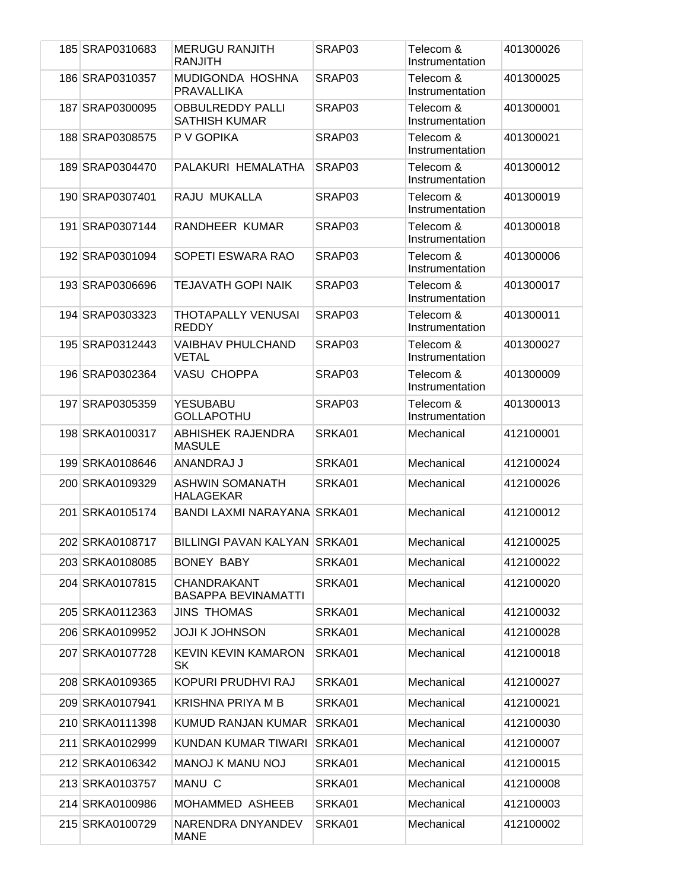| 185 SRAP0310683 | <b>MERUGU RANJITH</b><br><b>RANJITH</b>          | SRAP03             | Telecom &<br>Instrumentation | 401300026 |
|-----------------|--------------------------------------------------|--------------------|------------------------------|-----------|
| 186 SRAP0310357 | MUDIGONDA HOSHNA<br>PRAVALLIKA                   | SRAP03             | Telecom &<br>Instrumentation | 401300025 |
| 187 SRAP0300095 | <b>OBBULREDDY PALLI</b><br><b>SATHISH KUMAR</b>  | SRAP <sub>03</sub> | Telecom &<br>Instrumentation | 401300001 |
| 188 SRAP0308575 | P V GOPIKA                                       | SRAP03             | Telecom &<br>Instrumentation | 401300021 |
| 189 SRAP0304470 | PALAKURI HEMALATHA                               | SRAP03             | Telecom &<br>Instrumentation | 401300012 |
| 190 SRAP0307401 | RAJU MUKALLA                                     | SRAP03             | Telecom &<br>Instrumentation | 401300019 |
| 191 SRAP0307144 | RANDHEER KUMAR                                   | SRAP03             | Telecom &<br>Instrumentation | 401300018 |
| 192 SRAP0301094 | SOPETI ESWARA RAO                                | SRAP03             | Telecom &<br>Instrumentation | 401300006 |
| 193 SRAP0306696 | <b>TEJAVATH GOPI NAIK</b>                        | SRAP03             | Telecom &<br>Instrumentation | 401300017 |
| 194 SRAP0303323 | THOTAPALLY VENUSAI<br><b>REDDY</b>               | SRAP03             | Telecom &<br>Instrumentation | 401300011 |
| 195 SRAP0312443 | <b>VAIBHAV PHULCHAND</b><br>VETAL                | SRAP03             | Telecom &<br>Instrumentation | 401300027 |
| 196 SRAP0302364 | <b>VASU CHOPPA</b>                               | SRAP03             | Telecom &<br>Instrumentation | 401300009 |
| 197 SRAP0305359 | <b>YESUBABU</b><br><b>GOLLAPOTHU</b>             | SRAP03             | Telecom &<br>Instrumentation | 401300013 |
| 198 SRKA0100317 | <b>ABHISHEK RAJENDRA</b><br><b>MASULE</b>        | SRKA01             | Mechanical                   | 412100001 |
| 199 SRKA0108646 | ANANDRAJ J                                       | SRKA01             | Mechanical                   | 412100024 |
| 200 SRKA0109329 | ASHWIN SOMANATH<br><b>HALAGEKAR</b>              | SRKA01             | Mechanical                   | 412100026 |
| 201 SRKA0105174 | BANDI LAXMI NARAYANA SRKA01                      |                    | Mechanical                   | 412100012 |
| 202 SRKA0108717 | BILLINGI PAVAN KALYAN SRKA01                     |                    | Mechanical                   | 412100025 |
| 203 SRKA0108085 | BONEY BABY                                       | SRKA01             | Mechanical                   | 412100022 |
| 204 SRKA0107815 | <b>CHANDRAKANT</b><br><b>BASAPPA BEVINAMATTI</b> | SRKA01             | Mechanical                   | 412100020 |
| 205 SRKA0112363 | <b>JINS THOMAS</b>                               | SRKA01             | Mechanical                   | 412100032 |
| 206 SRKA0109952 | <b>JOJI K JOHNSON</b>                            | SRKA01             | Mechanical                   | 412100028 |
| 207 SRKA0107728 | <b>KEVIN KEVIN KAMARON</b><br>SK                 | SRKA01             | Mechanical                   | 412100018 |
| 208 SRKA0109365 | KOPURI PRUDHVI RAJ                               | SRKA01             | Mechanical                   | 412100027 |
| 209 SRKA0107941 | <b>KRISHNA PRIYA M B</b>                         | SRKA01             | Mechanical                   | 412100021 |
| 210 SRKA0111398 | KUMUD RANJAN KUMAR                               | SRKA01             | Mechanical                   | 412100030 |
| 211 SRKA0102999 | KUNDAN KUMAR TIWARI                              | SRKA01             | Mechanical                   | 412100007 |
| 212 SRKA0106342 | <b>MANOJ K MANU NOJ</b>                          | SRKA01             | Mechanical                   | 412100015 |
| 213 SRKA0103757 | MANU C                                           | SRKA01             | Mechanical                   | 412100008 |
| 214 SRKA0100986 | MOHAMMED ASHEEB                                  | SRKA01             | Mechanical                   | 412100003 |
| 215 SRKA0100729 | NARENDRA DNYANDEV<br>MANE                        | SRKA01             | Mechanical                   | 412100002 |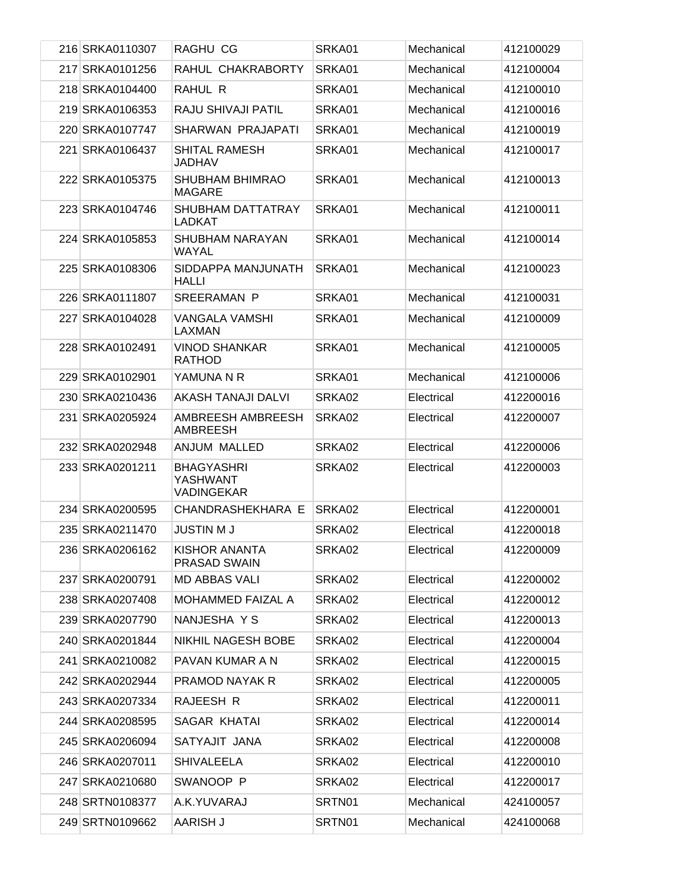| 216 SRKA0110307 | <b>RAGHU CG</b>                             | SRKA01 | Mechanical | 412100029 |
|-----------------|---------------------------------------------|--------|------------|-----------|
| 217 SRKA0101256 | RAHUL CHAKRABORTY                           | SRKA01 | Mechanical | 412100004 |
| 218 SRKA0104400 | RAHUL R                                     | SRKA01 | Mechanical | 412100010 |
| 219 SRKA0106353 | RAJU SHIVAJI PATIL                          | SRKA01 | Mechanical | 412100016 |
| 220 SRKA0107747 | SHARWAN PRAJAPATI                           | SRKA01 | Mechanical | 412100019 |
| 221 SRKA0106437 | <b>SHITAL RAMESH</b><br><b>JADHAV</b>       | SRKA01 | Mechanical | 412100017 |
| 222 SRKA0105375 | <b>SHUBHAM BHIMRAO</b><br><b>MAGARE</b>     | SRKA01 | Mechanical | 412100013 |
| 223 SRKA0104746 | SHUBHAM DATTATRAY<br><b>LADKAT</b>          | SRKA01 | Mechanical | 412100011 |
| 224 SRKA0105853 | <b>SHUBHAM NARAYAN</b><br>WAYAL             | SRKA01 | Mechanical | 412100014 |
| 225 SRKA0108306 | SIDDAPPA MANJUNATH<br><b>HALLI</b>          | SRKA01 | Mechanical | 412100023 |
| 226 SRKA0111807 | <b>SREERAMAN P</b>                          | SRKA01 | Mechanical | 412100031 |
| 227 SRKA0104028 | <b>VANGALA VAMSHI</b><br>LAXMAN             | SRKA01 | Mechanical | 412100009 |
| 228 SRKA0102491 | <b>VINOD SHANKAR</b><br><b>RATHOD</b>       | SRKA01 | Mechanical | 412100005 |
| 229 SRKA0102901 | YAMUNA N R                                  | SRKA01 | Mechanical | 412100006 |
| 230 SRKA0210436 | AKASH TANAJI DALVI                          | SRKA02 | Electrical | 412200016 |
| 231 SRKA0205924 | AMBREESH AMBREESH<br><b>AMBREESH</b>        | SRKA02 | Electrical | 412200007 |
| 232 SRKA0202948 | ANJUM MALLED                                | SRKA02 | Electrical | 412200006 |
| 233 SRKA0201211 | <b>BHAGYASHRI</b><br>YASHWANT<br>VADINGEKAR | SRKA02 | Electrical | 412200003 |
| 234 SRKA0200595 | CHANDRASHEKHARA E                           | SRKA02 | Electrical | 412200001 |
| 235 SRKA0211470 | <b>JUSTIN M J</b>                           | SRKA02 | Electrical | 412200018 |
| 236 SRKA0206162 | <b>KISHOR ANANTA</b><br><b>PRASAD SWAIN</b> | SRKA02 | Electrical | 412200009 |
| 237 SRKA0200791 | <b>MD ABBAS VALI</b>                        | SRKA02 | Electrical | 412200002 |
| 238 SRKA0207408 | <b>MOHAMMED FAIZAL A</b>                    | SRKA02 | Electrical | 412200012 |
| 239 SRKA0207790 | NANJESHA Y S                                | SRKA02 | Electrical | 412200013 |
| 240 SRKA0201844 | NIKHIL NAGESH BOBE                          | SRKA02 | Electrical | 412200004 |
| 241 SRKA0210082 | PAVAN KUMAR A N                             | SRKA02 | Electrical | 412200015 |
| 242 SRKA0202944 | PRAMOD NAYAK R                              | SRKA02 | Electrical | 412200005 |
| 243 SRKA0207334 | RAJEESH R                                   | SRKA02 | Electrical | 412200011 |
| 244 SRKA0208595 | SAGAR KHATAI                                | SRKA02 | Electrical | 412200014 |
| 245 SRKA0206094 | SATYAJIT JANA                               | SRKA02 | Electrical | 412200008 |
| 246 SRKA0207011 | <b>SHIVALEELA</b>                           | SRKA02 | Electrical | 412200010 |
| 247 SRKA0210680 | SWANOOP P                                   | SRKA02 | Electrical | 412200017 |
| 248 SRTN0108377 | A.K.YUVARAJ                                 | SRTN01 | Mechanical | 424100057 |
| 249 SRTN0109662 | AARISH J                                    | SRTN01 | Mechanical | 424100068 |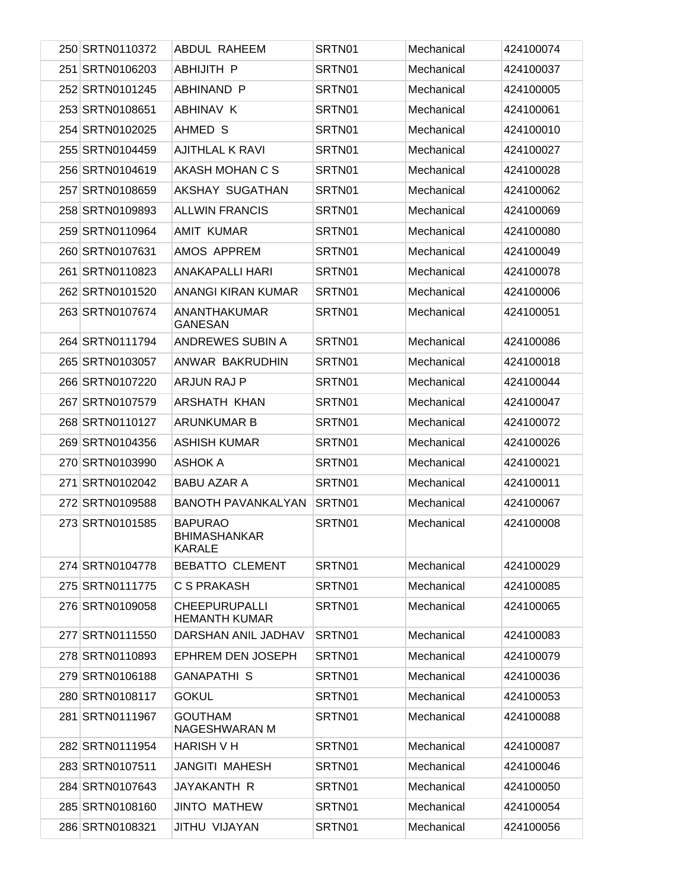| 250 SRTN0110372 | <b>ABDUL RAHEEM</b>                                    | SRTN01 | Mechanical | 424100074 |
|-----------------|--------------------------------------------------------|--------|------------|-----------|
| 251 SRTN0106203 | <b>ABHIJITH P</b>                                      | SRTN01 | Mechanical | 424100037 |
| 252 SRTN0101245 | ABHINAND P                                             | SRTN01 | Mechanical | 424100005 |
| 253 SRTN0108651 | <b>ABHINAV K</b>                                       | SRTN01 | Mechanical | 424100061 |
| 254 SRTN0102025 | AHMED S                                                | SRTN01 | Mechanical | 424100010 |
| 255 SRTN0104459 | <b>AJITHLAL K RAVI</b>                                 | SRTN01 | Mechanical | 424100027 |
| 256 SRTN0104619 | AKASH MOHAN C S                                        | SRTN01 | Mechanical | 424100028 |
| 257 SRTN0108659 | AKSHAY SUGATHAN                                        | SRTN01 | Mechanical | 424100062 |
| 258 SRTN0109893 | <b>ALLWIN FRANCIS</b>                                  | SRTN01 | Mechanical | 424100069 |
| 259 SRTN0110964 | AMIT KUMAR                                             | SRTN01 | Mechanical | 424100080 |
| 260 SRTN0107631 | AMOS APPREM                                            | SRTN01 | Mechanical | 424100049 |
| 261 SRTN0110823 | <b>ANAKAPALLI HARI</b>                                 | SRTN01 | Mechanical | 424100078 |
| 262 SRTN0101520 | ANANGI KIRAN KUMAR                                     | SRTN01 | Mechanical | 424100006 |
| 263 SRTN0107674 | ANANTHAKUMAR<br><b>GANESAN</b>                         | SRTN01 | Mechanical | 424100051 |
| 264 SRTN0111794 | ANDREWES SUBIN A                                       | SRTN01 | Mechanical | 424100086 |
| 265 SRTN0103057 | ANWAR BAKRUDHIN                                        | SRTN01 | Mechanical | 424100018 |
| 266 SRTN0107220 | ARJUN RAJ P                                            | SRTN01 | Mechanical | 424100044 |
| 267 SRTN0107579 | ARSHATH KHAN                                           | SRTN01 | Mechanical | 424100047 |
| 268 SRTN0110127 | <b>ARUNKUMAR B</b>                                     | SRTN01 | Mechanical | 424100072 |
| 269 SRTN0104356 | <b>ASHISH KUMAR</b>                                    | SRTN01 | Mechanical | 424100026 |
| 270 SRTN0103990 | ASHOK A                                                | SRTN01 | Mechanical | 424100021 |
| 271 SRTN0102042 | <b>BABU AZAR A</b>                                     | SRTN01 | Mechanical | 424100011 |
| 272 SRTN0109588 | <b>BANOTH PAVANKALYAN</b>                              | SRTN01 | Mechanical | 424100067 |
| 273 SRTN0101585 | <b>BAPURAO</b><br><b>BHIMASHANKAR</b><br><b>KARALE</b> | SRTN01 | Mechanical | 424100008 |
| 274 SRTN0104778 | <b>BEBATTO CLEMENT</b>                                 | SRTN01 | Mechanical | 424100029 |
| 275 SRTN0111775 | C S PRAKASH                                            | SRTN01 | Mechanical | 424100085 |
| 276 SRTN0109058 | <b>CHEEPURUPALLI</b><br><b>HEMANTH KUMAR</b>           | SRTN01 | Mechanical | 424100065 |
| 277 SRTN0111550 | DARSHAN ANIL JADHAV                                    | SRTN01 | Mechanical | 424100083 |
| 278 SRTN0110893 | EPHREM DEN JOSEPH                                      | SRTN01 | Mechanical | 424100079 |
| 279 SRTN0106188 | <b>GANAPATHIS</b>                                      | SRTN01 | Mechanical | 424100036 |
| 280 SRTN0108117 | <b>GOKUL</b>                                           | SRTN01 | Mechanical | 424100053 |
| 281 SRTN0111967 | GOUTHAM<br>NAGESHWARAN M                               | SRTN01 | Mechanical | 424100088 |
| 282 SRTN0111954 | <b>HARISH V H</b>                                      | SRTN01 | Mechanical | 424100087 |
| 283 SRTN0107511 | <b>JANGITI MAHESH</b>                                  | SRTN01 | Mechanical | 424100046 |
| 284 SRTN0107643 | JAYAKANTH R                                            | SRTN01 | Mechanical | 424100050 |
| 285 SRTN0108160 | <b>JINTO MATHEW</b>                                    | SRTN01 | Mechanical | 424100054 |
| 286 SRTN0108321 | JITHU VIJAYAN                                          | SRTN01 | Mechanical | 424100056 |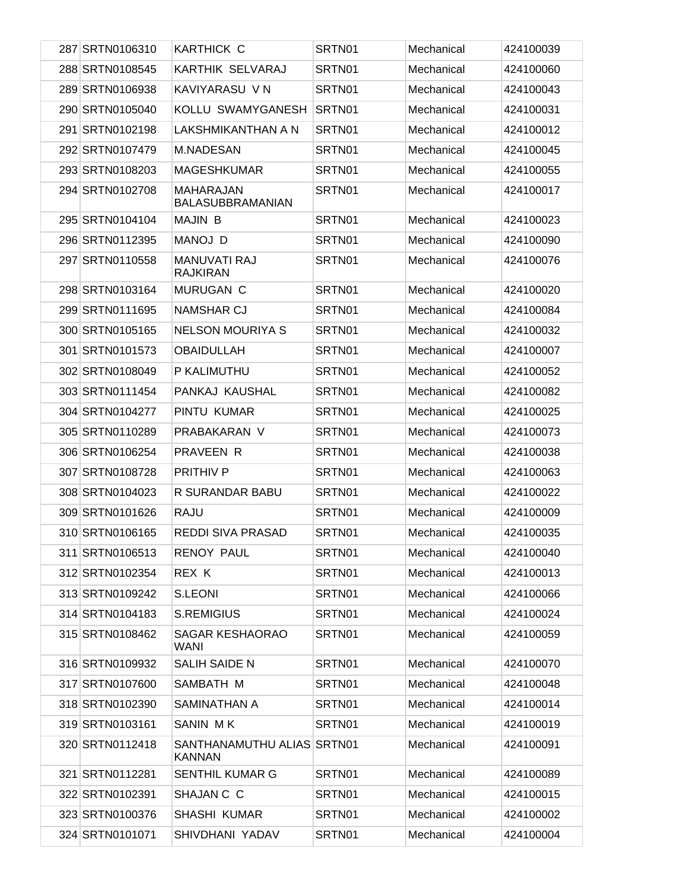| 287 SRTN0106310 | <b>KARTHICK C</b>                           | SRTN01 | Mechanical | 424100039 |
|-----------------|---------------------------------------------|--------|------------|-----------|
| 288 SRTN0108545 | KARTHIK SELVARAJ                            | SRTN01 | Mechanical | 424100060 |
| 289 SRTN0106938 | KAVIYARASU V N                              | SRTN01 | Mechanical | 424100043 |
| 290 SRTN0105040 | KOLLU SWAMYGANESH                           | SRTN01 | Mechanical | 424100031 |
| 291 SRTN0102198 | LAKSHMIKANTHAN A N                          | SRTN01 | Mechanical | 424100012 |
| 292 SRTN0107479 | M.NADESAN                                   | SRTN01 | Mechanical | 424100045 |
| 293 SRTN0108203 | <b>MAGESHKUMAR</b>                          | SRTN01 | Mechanical | 424100055 |
| 294 SRTN0102708 | <b>MAHARAJAN</b><br><b>BALASUBBRAMANIAN</b> | SRTN01 | Mechanical | 424100017 |
| 295 SRTN0104104 | <b>MAJIN B</b>                              | SRTN01 | Mechanical | 424100023 |
| 296 SRTN0112395 | MANOJ D                                     | SRTN01 | Mechanical | 424100090 |
| 297 SRTN0110558 | MANUVATI RAJ<br><b>RAJKIRAN</b>             | SRTN01 | Mechanical | 424100076 |
| 298 SRTN0103164 | MURUGAN C                                   | SRTN01 | Mechanical | 424100020 |
| 299 SRTN0111695 | <b>NAMSHAR CJ</b>                           | SRTN01 | Mechanical | 424100084 |
| 300 SRTN0105165 | <b>NELSON MOURIYA S</b>                     | SRTN01 | Mechanical | 424100032 |
| 301 SRTN0101573 | <b>OBAIDULLAH</b>                           | SRTN01 | Mechanical | 424100007 |
| 302 SRTN0108049 | P KALIMUTHU                                 | SRTN01 | Mechanical | 424100052 |
| 303 SRTN0111454 | PANKAJ KAUSHAL                              | SRTN01 | Mechanical | 424100082 |
| 304 SRTN0104277 | PINTU KUMAR                                 | SRTN01 | Mechanical | 424100025 |
| 305 SRTN0110289 | PRABAKARAN V                                | SRTN01 | Mechanical | 424100073 |
| 306 SRTN0106254 | PRAVEEN R                                   | SRTN01 | Mechanical | 424100038 |
| 307 SRTN0108728 | <b>PRITHIV P</b>                            | SRTN01 | Mechanical | 424100063 |
| 308 SRTN0104023 | R SURANDAR BABU                             | SRTN01 | Mechanical | 424100022 |
| 309 SRTN0101626 | RAJU                                        | SRTN01 | Mechanical | 424100009 |
| 310 SRTN0106165 | REDDI SIVA PRASAD                           | SRTN01 | Mechanical | 424100035 |
| 311 SRTN0106513 | RENOY PAUL                                  | SRTN01 | Mechanical | 424100040 |
| 312 SRTN0102354 | REX K                                       | SRTN01 | Mechanical | 424100013 |
| 313 SRTN0109242 | <b>S.LEONI</b>                              | SRTN01 | Mechanical | 424100066 |
| 314 SRTN0104183 | <b>S.REMIGIUS</b>                           | SRTN01 | Mechanical | 424100024 |
| 315 SRTN0108462 | <b>SAGAR KESHAORAO</b><br>WANI              | SRTN01 | Mechanical | 424100059 |
| 316 SRTN0109932 | SALIH SAIDE N                               | SRTN01 | Mechanical | 424100070 |
| 317 SRTN0107600 | SAMBATH M                                   | SRTN01 | Mechanical | 424100048 |
| 318 SRTN0102390 | SAMINATHAN A                                | SRTN01 | Mechanical | 424100014 |
| 319 SRTN0103161 | SANIN MK                                    | SRTN01 | Mechanical | 424100019 |
| 320 SRTN0112418 | SANTHANAMUTHU ALIAS SRTN01<br>KANNAN        |        | Mechanical | 424100091 |
| 321 SRTN0112281 | SENTHIL KUMAR G                             | SRTN01 | Mechanical | 424100089 |
| 322 SRTN0102391 | SHAJAN C C                                  | SRTN01 | Mechanical | 424100015 |
| 323 SRTN0100376 | SHASHI KUMAR                                | SRTN01 | Mechanical | 424100002 |
| 324 SRTN0101071 | SHIVDHANI YADAV                             | SRTN01 | Mechanical | 424100004 |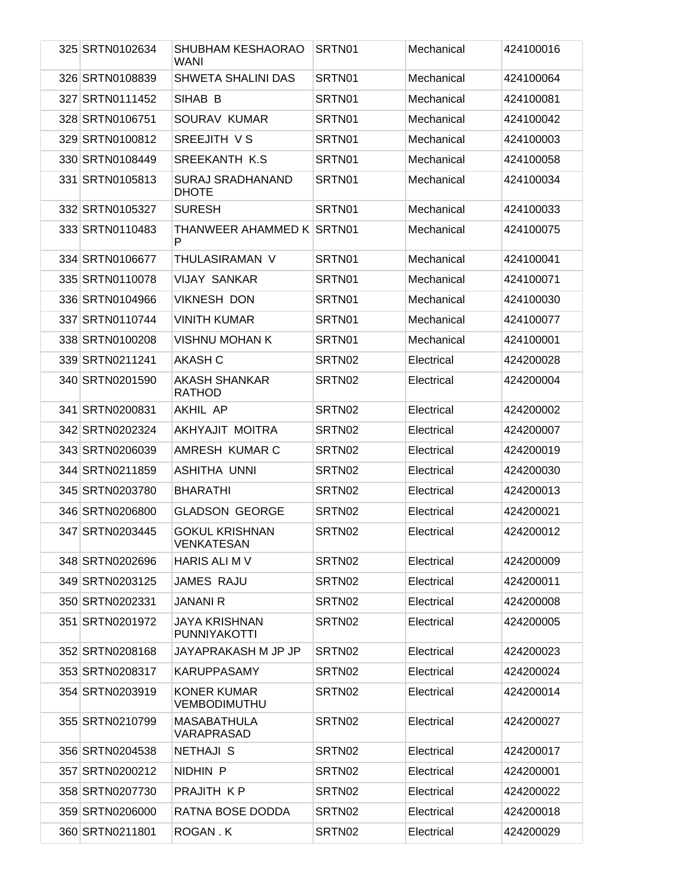| 325 SRTN0102634 | SHUBHAM KESHAORAO<br><b>WANI</b>            | SRTN01 | Mechanical | 424100016 |
|-----------------|---------------------------------------------|--------|------------|-----------|
| 326 SRTN0108839 | <b>SHWETA SHALINI DAS</b>                   | SRTN01 | Mechanical | 424100064 |
| 327 SRTN0111452 | SIHAB B                                     | SRTN01 | Mechanical | 424100081 |
| 328 SRTN0106751 | SOURAV KUMAR                                | SRTN01 | Mechanical | 424100042 |
| 329 SRTN0100812 | SREEJITH VS                                 | SRTN01 | Mechanical | 424100003 |
| 330 SRTN0108449 | <b>SREEKANTH K.S</b>                        | SRTN01 | Mechanical | 424100058 |
| 331 SRTN0105813 | <b>SURAJ SRADHANAND</b><br><b>DHOTE</b>     | SRTN01 | Mechanical | 424100034 |
| 332 SRTN0105327 | <b>SURESH</b>                               | SRTN01 | Mechanical | 424100033 |
| 333 SRTN0110483 | <b>THANWEER AHAMMED K SRTN01</b><br>P       |        | Mechanical | 424100075 |
| 334 SRTN0106677 | THULASIRAMAN V                              | SRTN01 | Mechanical | 424100041 |
| 335 SRTN0110078 | <b>VIJAY SANKAR</b>                         | SRTN01 | Mechanical | 424100071 |
| 336 SRTN0104966 | <b>VIKNESH DON</b>                          | SRTN01 | Mechanical | 424100030 |
| 337 SRTN0110744 | <b>VINITH KUMAR</b>                         | SRTN01 | Mechanical | 424100077 |
| 338 SRTN0100208 | <b>VISHNU MOHAN K</b>                       | SRTN01 | Mechanical | 424100001 |
| 339 SRTN0211241 | <b>AKASH C</b>                              | SRTN02 | Electrical | 424200028 |
| 340 SRTN0201590 | <b>AKASH SHANKAR</b><br><b>RATHOD</b>       | SRTN02 | Electrical | 424200004 |
| 341 SRTN0200831 | AKHIL AP                                    | SRTN02 | Electrical | 424200002 |
| 342 SRTN0202324 | AKHYAJIT MOITRA                             | SRTN02 | Electrical | 424200007 |
| 343 SRTN0206039 | AMRESH KUMAR C                              | SRTN02 | Electrical | 424200019 |
| 344 SRTN0211859 | ASHITHA UNNI                                | SRTN02 | Electrical | 424200030 |
| 345 SRTN0203780 | <b>BHARATHI</b>                             | SRTN02 | Electrical | 424200013 |
| 346 SRTN0206800 | <b>GLADSON GEORGE</b>                       | SRTN02 | Electrical | 424200021 |
| 347 SRTN0203445 | <b>GOKUL KRISHNAN</b><br>VENKATESAN         | SRTN02 | Electrical | 424200012 |
| 348 SRTN0202696 | <b>HARIS ALI M V</b>                        | SRTN02 | Electrical | 424200009 |
| 349 SRTN0203125 | <b>JAMES RAJU</b>                           | SRTN02 | Electrical | 424200011 |
| 350 SRTN0202331 | <b>JANANI R</b>                             | SRTN02 | Electrical | 424200008 |
| 351 SRTN0201972 | <b>JAYA KRISHNAN</b><br><b>PUNNIYAKOTTI</b> | SRTN02 | Electrical | 424200005 |
| 352 SRTN0208168 | JAYAPRAKASH M JP JP                         | SRTN02 | Electrical | 424200023 |
| 353 SRTN0208317 | <b>KARUPPASAMY</b>                          | SRTN02 | Electrical | 424200024 |
| 354 SRTN0203919 | <b>KONER KUMAR</b><br><b>VEMBODIMUTHU</b>   | SRTN02 | Electrical | 424200014 |
| 355 SRTN0210799 | <b>MASABATHULA</b><br>VARAPRASAD            | SRTN02 | Electrical | 424200027 |
| 356 SRTN0204538 | <b>NETHAJI S</b>                            | SRTN02 | Electrical | 424200017 |
| 357 SRTN0200212 | NIDHIN P                                    | SRTN02 | Electrical | 424200001 |
| 358 SRTN0207730 | PRAJITH KP                                  | SRTN02 | Electrical | 424200022 |
| 359 SRTN0206000 | RATNA BOSE DODDA                            | SRTN02 | Electrical | 424200018 |
| 360 SRTN0211801 | ROGAN.K                                     | SRTN02 | Electrical | 424200029 |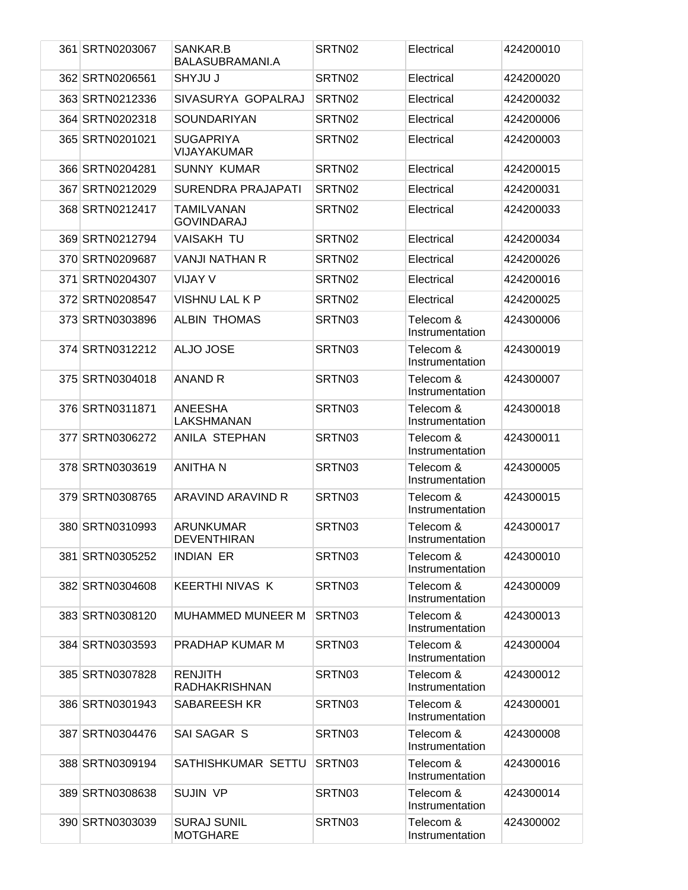| 361 SRTN0203067 | SANKAR.B<br>BALASUBRAMANI.A            | SRTN02 | Electrical                   | 424200010 |
|-----------------|----------------------------------------|--------|------------------------------|-----------|
| 362 SRTN0206561 | <b>SHYJU J</b>                         | SRTN02 | Electrical                   | 424200020 |
| 363 SRTN0212336 | SIVASURYA GOPALRAJ                     | SRTN02 | Electrical                   | 424200032 |
| 364 SRTN0202318 | <b>SOUNDARIYAN</b>                     | SRTN02 | Electrical                   | 424200006 |
| 365 SRTN0201021 | <b>SUGAPRIYA</b><br><b>VIJAYAKUMAR</b> | SRTN02 | Electrical                   | 424200003 |
| 366 SRTN0204281 | <b>SUNNY KUMAR</b>                     | SRTN02 | Electrical                   | 424200015 |
| 367 SRTN0212029 | <b>SURENDRA PRAJAPATI</b>              | SRTN02 | Electrical                   | 424200031 |
| 368 SRTN0212417 | TAMILVANAN<br><b>GOVINDARAJ</b>        | SRTN02 | Electrical                   | 424200033 |
| 369 SRTN0212794 | <b>VAISAKH TU</b>                      | SRTN02 | Electrical                   | 424200034 |
| 370 SRTN0209687 | <b>VANJI NATHAN R</b>                  | SRTN02 | Electrical                   | 424200026 |
| 371 SRTN0204307 | <b>VIJAY V</b>                         | SRTN02 | Electrical                   | 424200016 |
| 372 SRTN0208547 | <b>VISHNU LAL K P</b>                  | SRTN02 | Electrical                   | 424200025 |
| 373 SRTN0303896 | <b>ALBIN THOMAS</b>                    | SRTN03 | Telecom &<br>Instrumentation | 424300006 |
| 374 SRTN0312212 | ALJO JOSE                              | SRTN03 | Telecom &<br>Instrumentation | 424300019 |
| 375 SRTN0304018 | <b>ANAND R</b>                         | SRTN03 | Telecom &<br>Instrumentation | 424300007 |
| 376 SRTN0311871 | <b>ANEESHA</b><br>LAKSHMANAN           | SRTN03 | Telecom &<br>Instrumentation | 424300018 |
| 377 SRTN0306272 | ANILA STEPHAN                          | SRTN03 | Telecom &<br>Instrumentation | 424300011 |
| 378 SRTN0303619 | <b>ANITHAN</b>                         | SRTN03 | Telecom &<br>Instrumentation | 424300005 |
| 379 SRTN0308765 | ARAVIND ARAVIND R                      | SRTN03 | Telecom &<br>Instrumentation | 424300015 |
| 380 SRTN0310993 | <b>ARUNKUMAR</b><br><b>DEVENTHIRAN</b> | SRTN03 | Telecom &<br>Instrumentation | 424300017 |
| 381 SRTN0305252 | <b>INDIAN ER</b>                       | SRTN03 | Telecom &<br>Instrumentation | 424300010 |
| 382 SRTN0304608 | <b>KEERTHI NIVAS K</b>                 | SRTN03 | Telecom &<br>Instrumentation | 424300009 |
| 383 SRTN0308120 | <b>MUHAMMED MUNEER M</b>               | SRTN03 | Telecom &<br>Instrumentation | 424300013 |
| 384 SRTN0303593 | PRADHAP KUMAR M                        | SRTN03 | Telecom &<br>Instrumentation | 424300004 |
| 385 SRTN0307828 | <b>RENJITH</b><br><b>RADHAKRISHNAN</b> | SRTN03 | Telecom &<br>Instrumentation | 424300012 |
| 386 SRTN0301943 | SABAREESH KR                           | SRTN03 | Telecom &<br>Instrumentation | 424300001 |
| 387 SRTN0304476 | SAI SAGAR S                            | SRTN03 | Telecom &<br>Instrumentation | 424300008 |
| 388 SRTN0309194 | SATHISHKUMAR SETTU                     | SRTN03 | Telecom &<br>Instrumentation | 424300016 |
| 389 SRTN0308638 | <b>SUJIN VP</b>                        | SRTN03 | Telecom &<br>Instrumentation | 424300014 |
| 390 SRTN0303039 | <b>SURAJ SUNIL</b><br><b>MOTGHARE</b>  | SRTN03 | Telecom &<br>Instrumentation | 424300002 |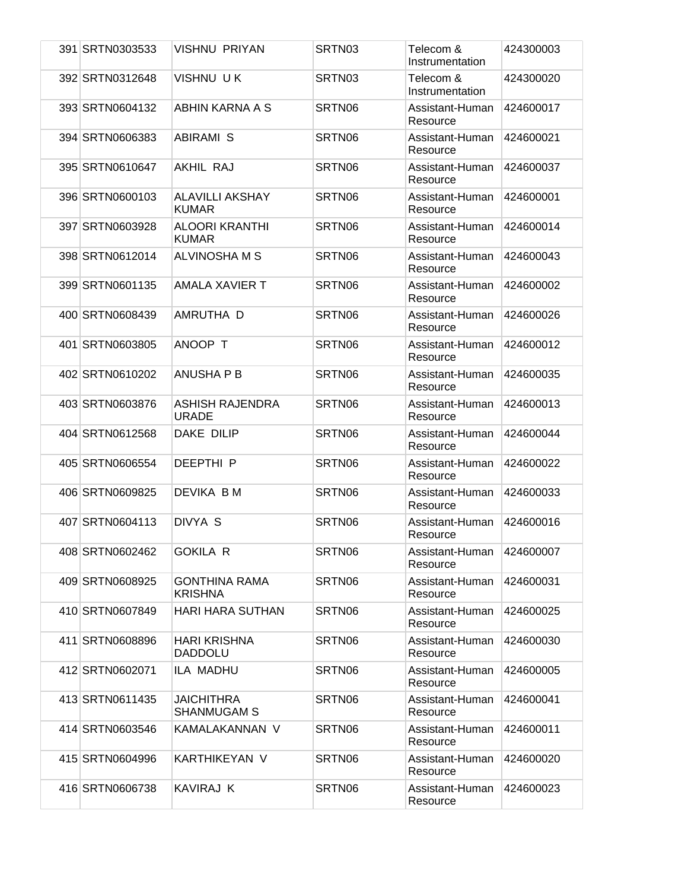| 391 SRTN0303533 | <b>VISHNU PRIYAN</b>                    | SRTN03 | Telecom &<br>Instrumentation | 424300003 |
|-----------------|-----------------------------------------|--------|------------------------------|-----------|
| 392 SRTN0312648 | VISHNU UK                               | SRTN03 | Telecom &<br>Instrumentation | 424300020 |
| 393 SRTN0604132 | ABHIN KARNA A S                         | SRTN06 | Assistant-Human<br>Resource  | 424600017 |
| 394 SRTN0606383 | <b>ABIRAMI S</b>                        | SRTN06 | Assistant-Human<br>Resource  | 424600021 |
| 395 SRTN0610647 | AKHIL RAJ                               | SRTN06 | Assistant-Human<br>Resource  | 424600037 |
| 396 SRTN0600103 | <b>ALAVILLI AKSHAY</b><br><b>KUMAR</b>  | SRTN06 | Assistant-Human<br>Resource  | 424600001 |
| 397 SRTN0603928 | ALOORI KRANTHI<br><b>KUMAR</b>          | SRTN06 | Assistant-Human<br>Resource  | 424600014 |
| 398 SRTN0612014 | ALVINOSHA M S                           | SRTN06 | Assistant-Human<br>Resource  | 424600043 |
| 399 SRTN0601135 | AMALA XAVIER T                          | SRTN06 | Assistant-Human<br>Resource  | 424600002 |
| 400 SRTN0608439 | AMRUTHA D                               | SRTN06 | Assistant-Human<br>Resource  | 424600026 |
| 401 SRTN0603805 | ANOOP T                                 | SRTN06 | Assistant-Human<br>Resource  | 424600012 |
| 402 SRTN0610202 | ANUSHA P B                              | SRTN06 | Assistant-Human<br>Resource  | 424600035 |
| 403 SRTN0603876 | ASHISH RAJENDRA<br><b>URADE</b>         | SRTN06 | Assistant-Human<br>Resource  | 424600013 |
| 404 SRTN0612568 | DAKE DILIP                              | SRTN06 | Assistant-Human<br>Resource  | 424600044 |
| 405 SRTN0606554 | <b>DEEPTHIP</b>                         | SRTN06 | Assistant-Human<br>Resource  | 424600022 |
| 406 SRTN0609825 | DEVIKA B M                              | SRTN06 | Assistant-Human<br>Resource  | 424600033 |
| 407 SRTN0604113 | DIVYA S                                 | SRTN06 | Assistant-Human<br>Resource  | 424600016 |
| 408 SRTN0602462 | <b>GOKILA R</b>                         | SRTN06 | Assistant-Human<br>Resource  | 424600007 |
| 409 SRTN0608925 | <b>GONTHINA RAMA</b><br><b>KRISHNA</b>  | SRTN06 | Assistant-Human<br>Resource  | 424600031 |
| 410 SRTN0607849 | <b>HARI HARA SUTHAN</b>                 | SRTN06 | Assistant-Human<br>Resource  | 424600025 |
| 411 SRTN0608896 | <b>HARI KRISHNA</b><br><b>DADDOLU</b>   | SRTN06 | Assistant-Human<br>Resource  | 424600030 |
| 412 SRTN0602071 | ILA MADHU                               | SRTN06 | Assistant-Human<br>Resource  | 424600005 |
| 413 SRTN0611435 | <b>JAICHITHRA</b><br><b>SHANMUGAM S</b> | SRTN06 | Assistant-Human<br>Resource  | 424600041 |
| 414 SRTN0603546 | KAMALAKANNAN V                          | SRTN06 | Assistant-Human<br>Resource  | 424600011 |
| 415 SRTN0604996 | KARTHIKEYAN V                           | SRTN06 | Assistant-Human<br>Resource  | 424600020 |
| 416 SRTN0606738 | <b>KAVIRAJ K</b>                        | SRTN06 | Assistant-Human<br>Resource  | 424600023 |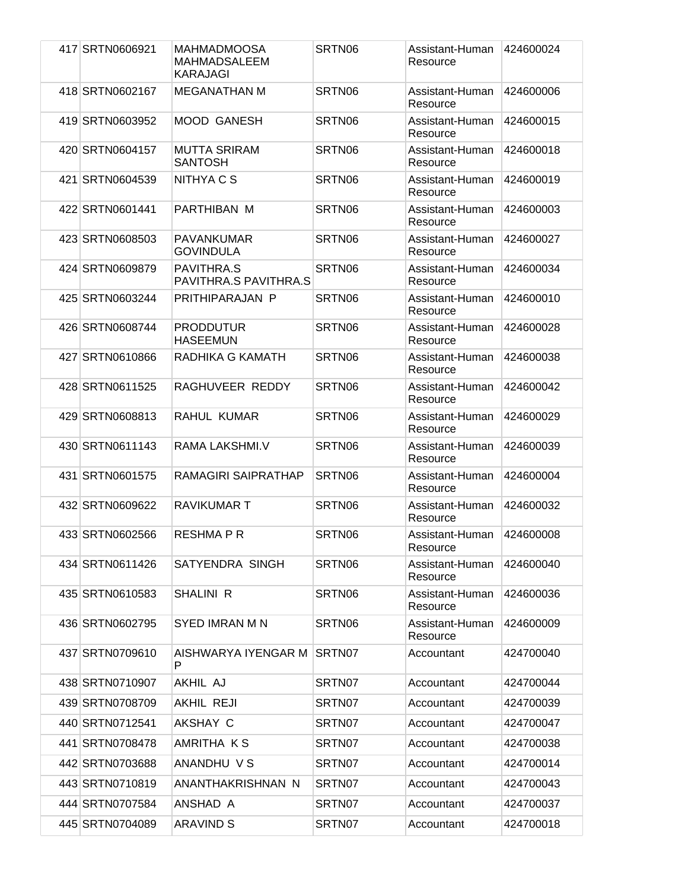| 417 SRTN0606921 | <b>MAHMADMOOSA</b><br><b>MAHMADSALEEM</b><br><b>KARAJAGI</b> | SRTN06 | Assistant-Human<br>Resource | 424600024 |
|-----------------|--------------------------------------------------------------|--------|-----------------------------|-----------|
| 418 SRTN0602167 | <b>MEGANATHAN M</b>                                          | SRTN06 | Assistant-Human<br>Resource | 424600006 |
| 419 SRTN0603952 | <b>MOOD GANESH</b>                                           | SRTN06 | Assistant-Human<br>Resource | 424600015 |
| 420 SRTN0604157 | <b>MUTTA SRIRAM</b><br><b>SANTOSH</b>                        | SRTN06 | Assistant-Human<br>Resource | 424600018 |
| 421 SRTN0604539 | NITHYA C S                                                   | SRTN06 | Assistant-Human<br>Resource | 424600019 |
| 422 SRTN0601441 | PARTHIBAN M                                                  | SRTN06 | Assistant-Human<br>Resource | 424600003 |
| 423 SRTN0608503 | <b>PAVANKUMAR</b><br><b>GOVINDULA</b>                        | SRTN06 | Assistant-Human<br>Resource | 424600027 |
| 424 SRTN0609879 | PAVITHRA.S<br>PAVITHRA.S PAVITHRA.S                          | SRTN06 | Assistant-Human<br>Resource | 424600034 |
| 425 SRTN0603244 | PRITHIPARAJAN P                                              | SRTN06 | Assistant-Human<br>Resource | 424600010 |
| 426 SRTN0608744 | <b>PRODDUTUR</b><br><b>HASEEMUN</b>                          | SRTN06 | Assistant-Human<br>Resource | 424600028 |
| 427 SRTN0610866 | RADHIKA G KAMATH                                             | SRTN06 | Assistant-Human<br>Resource | 424600038 |
| 428 SRTN0611525 | RAGHUVEER REDDY                                              | SRTN06 | Assistant-Human<br>Resource | 424600042 |
| 429 SRTN0608813 | RAHUL KUMAR                                                  | SRTN06 | Assistant-Human<br>Resource | 424600029 |
| 430 SRTN0611143 | RAMA LAKSHMI.V                                               | SRTN06 | Assistant-Human<br>Resource | 424600039 |
| 431 SRTN0601575 | RAMAGIRI SAIPRATHAP                                          | SRTN06 | Assistant-Human<br>Resource | 424600004 |
| 432 SRTN0609622 | <b>RAVIKUMAR T</b>                                           | SRTN06 | Assistant-Human<br>Resource | 424600032 |
| 433 SRTN0602566 | <b>RESHMAPR</b>                                              | SRTN06 | Assistant-Human<br>Resource | 424600008 |
| 434 SRTN0611426 | SATYENDRA SINGH                                              | SRTN06 | Assistant-Human<br>Resource | 424600040 |
| 435 SRTN0610583 | <b>SHALINI R</b>                                             | SRTN06 | Assistant-Human<br>Resource | 424600036 |
| 436 SRTN0602795 | SYED IMRAN M N                                               | SRTN06 | Assistant-Human<br>Resource | 424600009 |
| 437 SRTN0709610 | AISHWARYA IYENGAR M<br>P                                     | SRTN07 | Accountant                  | 424700040 |
| 438 SRTN0710907 | AKHIL AJ                                                     | SRTN07 | Accountant                  | 424700044 |
| 439 SRTN0708709 | AKHIL REJI                                                   | SRTN07 | Accountant                  | 424700039 |
| 440 SRTN0712541 | AKSHAY C                                                     | SRTN07 | Accountant                  | 424700047 |
| 441 SRTN0708478 | AMRITHA KS                                                   | SRTN07 | Accountant                  | 424700038 |
| 442 SRTN0703688 | ANANDHU V S                                                  | SRTN07 | Accountant                  | 424700014 |
| 443 SRTN0710819 | ANANTHAKRISHNAN N                                            | SRTN07 | Accountant                  | 424700043 |
| 444 SRTN0707584 | ANSHAD A                                                     | SRTN07 | Accountant                  | 424700037 |
| 445 SRTN0704089 | <b>ARAVIND S</b>                                             | SRTN07 | Accountant                  | 424700018 |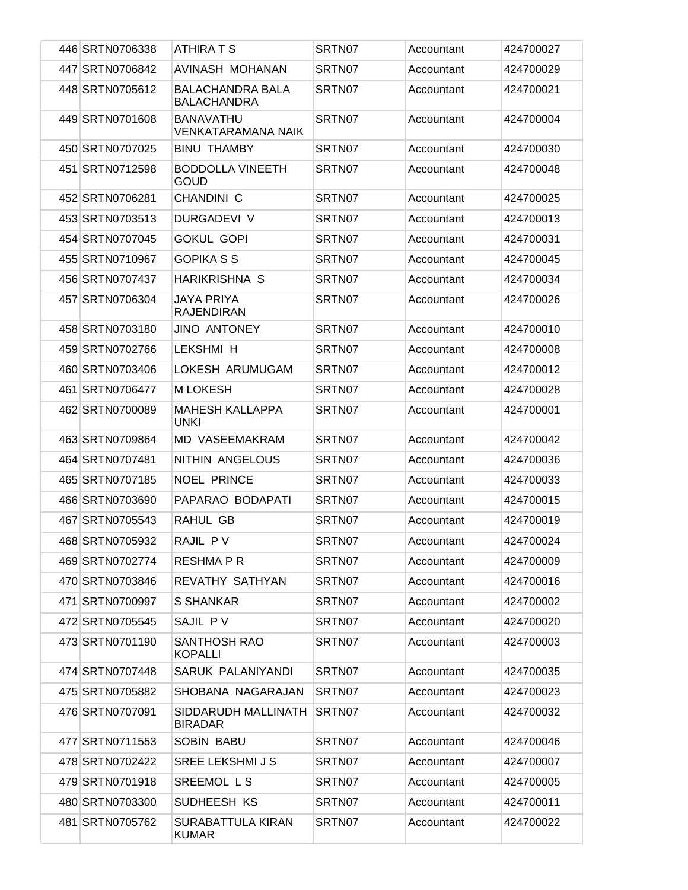| 446 SRTN0706338 | <b>ATHIRA T S</b>                             | SRTN07 | Accountant | 424700027 |
|-----------------|-----------------------------------------------|--------|------------|-----------|
| 447 SRTN0706842 | AVINASH MOHANAN                               | SRTN07 | Accountant | 424700029 |
| 448 SRTN0705612 | BALACHANDRA BALA<br><b>BALACHANDRA</b>        | SRTN07 | Accountant | 424700021 |
| 449 SRTN0701608 | <b>BANAVATHU</b><br><b>VENKATARAMANA NAIK</b> | SRTN07 | Accountant | 424700004 |
| 450 SRTN0707025 | <b>BINU THAMBY</b>                            | SRTN07 | Accountant | 424700030 |
| 451 SRTN0712598 | <b>BODDOLLA VINEETH</b><br><b>GOUD</b>        | SRTN07 | Accountant | 424700048 |
| 452 SRTN0706281 | CHANDINI C                                    | SRTN07 | Accountant | 424700025 |
| 453 SRTN0703513 | DURGADEVI V                                   | SRTN07 | Accountant | 424700013 |
| 454 SRTN0707045 | <b>GOKUL GOPI</b>                             | SRTN07 | Accountant | 424700031 |
| 455 SRTN0710967 | <b>GOPIKA S S</b>                             | SRTN07 | Accountant | 424700045 |
| 456 SRTN0707437 | <b>HARIKRISHNA S</b>                          | SRTN07 | Accountant | 424700034 |
| 457 SRTN0706304 | <b>JAYA PRIYA</b><br><b>RAJENDIRAN</b>        | SRTN07 | Accountant | 424700026 |
| 458 SRTN0703180 | <b>JINO ANTONEY</b>                           | SRTN07 | Accountant | 424700010 |
| 459 SRTN0702766 | <b>LEKSHMI H</b>                              | SRTN07 | Accountant | 424700008 |
| 460 SRTN0703406 | LOKESH ARUMUGAM                               | SRTN07 | Accountant | 424700012 |
| 461 SRTN0706477 | <b>MLOKESH</b>                                | SRTN07 | Accountant | 424700028 |
| 462 SRTN0700089 | <b>MAHESH KALLAPPA</b><br><b>UNKI</b>         | SRTN07 | Accountant | 424700001 |
| 463 SRTN0709864 | <b>MD VASEEMAKRAM</b>                         | SRTN07 | Accountant | 424700042 |
| 464 SRTN0707481 | NITHIN ANGELOUS                               | SRTN07 | Accountant | 424700036 |
| 465 SRTN0707185 | <b>NOEL PRINCE</b>                            | SRTN07 | Accountant | 424700033 |
| 466 SRTN0703690 | PAPARAO BODAPATI                              | SRTN07 | Accountant | 424700015 |
| 467 SRTN0705543 | RAHUL GB                                      | SRTN07 | Accountant | 424700019 |
| 468 SRTN0705932 | RAJIL PV                                      | SRTN07 | Accountant | 424700024 |
| 469 SRTN0702774 | RESHMA P R                                    | SRTN07 | Accountant | 424700009 |
| 470 SRTN0703846 | REVATHY SATHYAN                               | SRTN07 | Accountant | 424700016 |
| 471 SRTN0700997 | S SHANKAR                                     | SRTN07 | Accountant | 424700002 |
| 472 SRTN0705545 | SAJIL PV                                      | SRTN07 | Accountant | 424700020 |
| 473 SRTN0701190 | SANTHOSH RAO<br><b>KOPALLI</b>                | SRTN07 | Accountant | 424700003 |
| 474 SRTN0707448 | SARUK PALANIYANDI                             | SRTN07 | Accountant | 424700035 |
| 475 SRTN0705882 | SHOBANA NAGARAJAN                             | SRTN07 | Accountant | 424700023 |
| 476 SRTN0707091 | SIDDARUDH MALLINATH<br><b>BIRADAR</b>         | SRTN07 | Accountant | 424700032 |
| 477 SRTN0711553 | <b>SOBIN BABU</b>                             | SRTN07 | Accountant | 424700046 |
| 478 SRTN0702422 | <b>SREE LEKSHMI J S</b>                       | SRTN07 | Accountant | 424700007 |
| 479 SRTN0701918 | SREEMOL LS                                    | SRTN07 | Accountant | 424700005 |
| 480 SRTN0703300 | SUDHEESH KS                                   | SRTN07 | Accountant | 424700011 |
| 481 SRTN0705762 | SURABATTULA KIRAN<br><b>KUMAR</b>             | SRTN07 | Accountant | 424700022 |